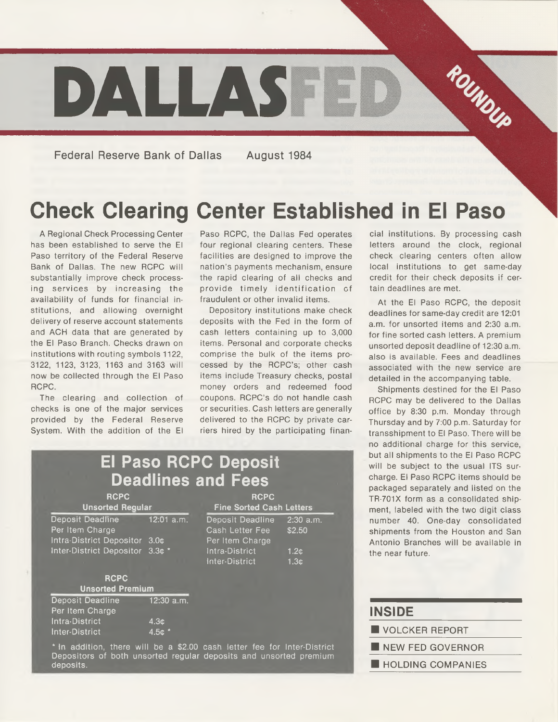

**Federal Reserve Bank of Dallas August 1984**

# **Check Clearing Center Established in El Paso**

A Regional Check Processing Center has been established to serve the El Paso territory of the Federal Reserve Bank of Dallas. The new RCPC will substantially improve check processing services by increasing the availability of funds for financial institutions, and allowing overnight delivery of reserve account statements and ACH data that are generated by the El Paso Branch. Checks drawn on institutions with routing symbols 1122, 3122, 1123, 3123, 1163 and 3163 will now be collected through the El Paso RCPC.

The clearing and collection of checks is one of the major services provided by the Federal Reserve System. With the addition of the El

Paso RCPC, the Dallas Fed operates four regional clearing centers. These facilities are designed to improve the nation's payments mechanism, ensure the rapid clearing of all checks and provide tim ely identification of fraudulent or other invalid items.

Depository institutions make check deposits with the Fed in the form of cash letters containing up to 3,000 items. Personal and corporate checks comprise the bulk of the items processed by the RCPC's; other cash items include Treasury checks, postal money orders and redeemed food coupons. RCPC's do not handle cash or securities. Cash letters are generally delivered to the RCPC by private carriers hired by the participating finan-

**El Paso RCPC Deposit Deadlines and Fees** RCPC RCPC **Unsorted Regular Fine Sorted Cash Letters** Deposit Deadline 12:01 a.m. Deposit Deadline 2:30 a.m. Per Item Charge Cash Letter Fee \$2.50<br>Intra-District Depositor 3.0¢ Per Item Charge Intra-District Depositor 3.0¢ Inter-District Depositor 3.3c \* Intra-District 1.2c **RCPC Unsorted Premium** Deposit Deadline 12:30 a.m. Per Item Charge Intra-District 4.3¢ Inter-District 4.5c \* Inter-District

\* In addition, there will be a \$2.00 cash letter fee for Inter-District Depositors of both unsorted regular deposits and unsorted premium deposits.

cial institutions. By processing cash letters around the clock, regional check clearing centers often allow local institutions to get same-day credit for their check deposits if certain deadlines are met.

At the El Paso RCPC, the deposit deadlines for same-day credit are 12:01 a.m. for unsorted items and 2:30 a.m. for fine sorted cash letters. A premium unsorted deposit deadline of 12:30 a.m. also is available. Fees and deadlines associated with the new service are detailed in the accompanying table.

Shipments destined for the El Paso RCPC may be delivered to the Dallas office by 8:30 p.m. Monday through Thursday and by 7:00 p.m. Saturday for transshipment to El Paso. There will be no additional charge for this service, but all shipments to the El Paso RCPC will be subject to the usual ITS surcharge. El Paso RCPC items should be packaged separately and listed on the TR-701X form as a consolidated shipment, labeled with the two digit class number 40. One-day consolidated shipments from the Houston and San Antonio Branches will be available in the near future.

| <b>INSIDE</b>            |  |
|--------------------------|--|
| VOLCKER REPORT           |  |
| NEW FED GOVERNOR         |  |
| <b>HOLDING COMPANIES</b> |  |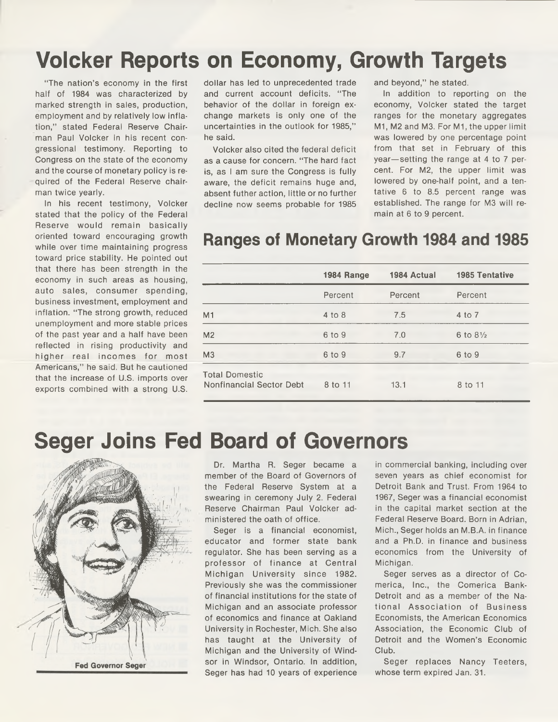# **Volcker Reports on Economy, Growth Targets**

"The nation's economy in the first half of 1984 was characterized by marked strength in sales, production, employment and by relatively low inflation," stated Federal Reserve Chairman Paul Volcker in his recent congressional testimony. Reporting to Congress on the state of the economy and the course of monetary policy is required of the Federal Reserve chairman twice yearly.

In his recent testimony, Volcker stated that the policy of the Federal Reserve would remain basically oriented toward encouraging growth while over time maintaining progress toward price stability. He pointed out that there has been strength in the economy in such areas as housing, auto sales, consumer spending, business investment, employment and inflation. "The strong growth, reduced unemployment and more stable prices of the past year and a half have been reflected in rising productivity and higher real incomes for most Americans," he said. But he cautioned that the increase of U.S. imports over exports combined with a strong U.S.

dollar has led to unprecedented trade and current account deficits. "The behavior of the dollar in foreign exchange markets is only one of the uncertainties in the outlook for 1985," he said.

Volcker also cited the federal deficit as a cause for concern. "The hard fact is, as I am sure the Congress is fully aware, the deficit remains huge and, absent futher action, little or no further decline now seems probable for 1985

and beyond," he stated.

In addition to reporting on the economy, Volcker stated the target ranges for the monetary aggregates M1, M2 and M3. For M1, the upper limit was lowered by one percentage point from that set in February of this year—setting the range at 4 to 7 percent. For M2, the upper limit was lowered by one-half point, and a tentative 6 to 8.5 percent range was established. The range for M3 will remain at 6 to 9 percent.

#### **Ranges of Monetary Growth 1984 and 1985**

|                                                   | 1984 Range | 1984 Actual | <b>1985 Tentative</b> |
|---------------------------------------------------|------------|-------------|-----------------------|
|                                                   | Percent    | Percent     | Percent               |
| M <sub>1</sub>                                    | 4 to 8     | 7.5         | 4 to 7                |
| M <sub>2</sub>                                    | 6 to 9     | 7.0         | 6 to $8\frac{1}{2}$   |
| M <sub>3</sub>                                    | 6 to 9     | 9.7         | 6 to 9                |
| <b>Total Domestic</b><br>Nonfinancial Sector Debt | 8 to 11    | 13.1        | 8 to 11               |

### **Seger Joins Fed Board of Governors**



Dr. Martha R. Seger became a member of the Board of Governors of the Federal Reserve System at a swearing in ceremony July 2. Federal Reserve Chairman Paul Volcker administered the oath of office.

Seger is a financial economist, educator and former state bank regulator. She has been serving as a professor of finance at Central Michigan University since 1982. Previously she was the commissioner of financial institutions for the state of Michigan and an associate professor of economics and finance at Oakland University in Rochester, Mich. She also has taught at the University of Michigan and the University of Windsor in Windsor, Ontario. In addition, Seger has had 10 years of experience

in commercial banking, including over seven years as chief economist for Detroit Bank and Trust. From 1964 to 1967, Seger was a financial economist in the capital market section at the Federal Reserve Board. Born in Adrian, Mich., Seger holds an M.B.A. in finance and a Ph.D. in finance and business economics from the University of Michigan.

Seger serves as a director of Comerica, Inc., the Comerica Bank-Detroit and as a member of the National Association of Business Economists, the American Economics Association, the Economic Club of Detroit and the Women's Economic Club.

Seger replaces Nancy Teeters, whose term expired Jan. 31.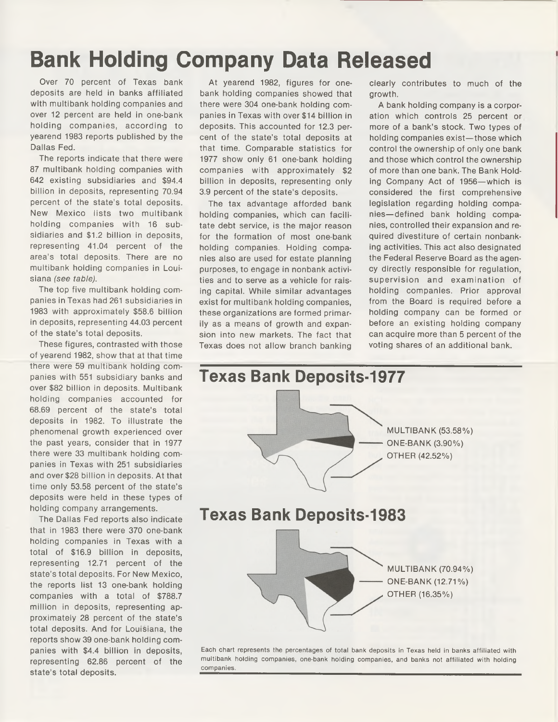## **Bank Holding Company Data Released**

Over 70 percent of Texas bank deposits are held in banks affiliated with multibank holding companies and over 12 percent are held in one-bank holding companies, according to yearend 1983 reports published by the Dallas Fed.

The reports indicate that there were 87 multibank holding companies with 642 existing subsidiaries and \$94.4 billion in deposits, representing 70.94 percent of the state's total deposits. New Mexico lists two multibank holding companies with 16 subsidiaries and \$1.2 billion in deposits, representing 41.04 percent of the area's total deposits. There are no multibank holding companies in Louisiana *(see table).*

The top five multibank holding companies in Texas had 261 subsidiaries in 1983 with approximately \$58.6 billion in deposits, representing 44.03 percent of the state's total deposits.

These figures, contrasted with those of yearend 1982, show that at that time there were 59 multibank holding companies with 551 subsidiary banks and over \$82 billion in deposits. Multibank holding companies accounted for 68.69 percent of the state's total deposits in 1982. To illustrate the phenomenal growth experienced over the past years, consider that in 1977 there were 33 multibank holding companies in Texas with 251 subsidiaries and over \$28 billion in deposits. At that time only 53.58 percent of the state's deposits were held in these types of holding company arrangements.

The Dallas Fed reports also indicate that in 1983 there were 370 one-bank holding companies in Texas with a total of \$16.9 billion in deposits, representing 12.71 percent of the state's total deposits. For New Mexico, the reports list 13 one-bank holding companies with a total of \$788.7 million in deposits, representing approximately 28 percent of the state's total deposits. And for Louisiana, the reports show 39 one-bank holding companies with \$4.4 billion in deposits, representing 62.86 percent of the state's total deposits.

At yearend 1982, figures for onebank holding companies showed that there were 304 one-bank holding companies in Texas with over \$14 billion in deposits. This accounted for 12.3 percent of the state's total deposits at that time. Comparable statistics for 1977 show only 61 one-bank holding companies with approximately \$2 billion in deposits, representing only 3.9 percent of the state's deposits.

The tax advantage afforded bank holding companies, which can facilitate debt service, is the major reason for the formation of most one-bank holding companies. Holding companies also are used for estate planning purposes, to engage in nonbank activities and to serve as a vehicle for raising capital. While similar advantages exist for multibank holding companies, these organizations are formed primarily as a means of growth and expansion into new markets. The fact that Texas does not allow branch banking

clearly contributes to much of the growth.

A bank holding company is a corporation which controls 25 percent or more of a bank's stock. Two types of holding companies exist—those which control the ownership of only one bank and those which control the ownership of more than one bank. The Bank Holding Company Act of 1956—which is considered the first comprehensive legislation regarding holding companies—defined bank holding companies, controlled their expansion and required divestiture of certain nonbanking activities. This act also designated the Federal Reserve Board as the agency directly responsible for regulation, supervision and examination of holding companies. Prior approval from the Board is required before a holding company can be formed or before an existing holding company can acquire more than 5 percent of the voting shares of an additional bank.



**Each chart represents the percentages of total bank deposits in Texas held in banks affiliated with multibank holding companies, one-bank holding companies, and banks not affiliated with holding companies.**